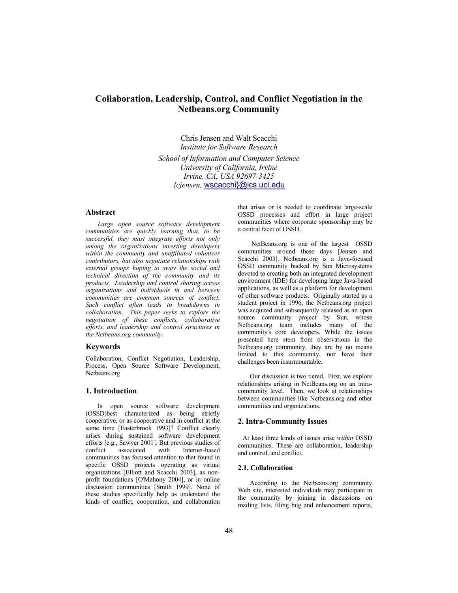# **Collaboration, Leadership, Control, and Conflict Negotiation in the Netbeans.org Community**

Chris Jensen and Walt Scacchi *Institute for Software Research School of Information and Computer Science University of California, Irvine Irvine, CA, USA 92697-3425 {cjensen,* wscacchi}@ics.uci.edu

## **Abstract**

*Large open source software development communities are quickly learning that, to be successful, they must integrate efforts not only among the organizations investing developers within the community and unaffiliated volunteer contributors, but also negotiate relationships with external groups hoping to sway the social and technical direction of the community and its products. Leadership and control sharing across organizations and individuals in and between communities are common sources of conflict. Such conflict often leads to breakdowns in collaboration. This paper seeks to explore the negotiation of these conflicts, collaborative efforts, and leadership and control structures in the Netbeans.org community.* 

### **Keywords**

Collaboration, Conflict Negotiation, Leadership, Process, Open Source Software Development, Netbeans.org

### **1. Introduction**

Is open source software development (OSSD)best characterized as being strictly cooperative, or as cooperative and in conflict at the same time [Easterbrook 1993]? Conflict clearly arises during sustained software development efforts [e.g., Sawyer 2001]. But previous studies of conflict associated with Internet-based communities has focused attention to that found in specific OSSD projects operating as virtual organizations [Elliott and Scacchi 2003], as nonprofit foundations [O'Mahony 2004], or in online discussion communities [Smith 1999]. None of these studies specifically help us understand the kinds of conflict, cooperation, and collaboration

that arises or is needed to coordinate large-scale OSSD processes and effort in large project communities where corporate sponsorship may be a central facet of OSSD.

 NetBeans.org is one of the largest OSSD communities around these days [Jensen and Scacchi 2003]. Netbeans.org is a Java-focused OSSD community backed by Sun Microsystems devoted to creating both an integrated development environment (IDE) for developing large Java-based applications, as well as a platform for development of other software products. Originally started as a student project in 1996, the Netbeans.org project was acquired and subsequently released as an open source community project by Sun, whose Netbeans.org team includes many of the community's core developers. While the issues presented here stem from observations in the Netbeans.org community, they are by no means limited to this community, nor have their challenges been insurmountable.

Our discussion is two tiered. First, we explore relationships arising in NetBeans.org on an intracommunity level. Then, we look at relationships between communities like Netbeans.org and other communities and organizations.

### **2. Intra-Community Issues**

 At least three kinds of issues arise *within* OSSD communities. These are collaboration, leadership and control, and conflict.

### **2.1. Collaboration**

According to the Netbeans.org community Web site, interested individuals may participate in the community by joining in discussions on mailing lists, filing bug and enhancement reports,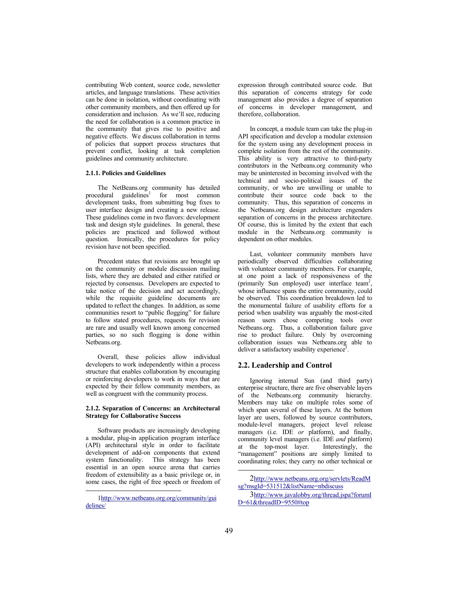contributing Web content, source code, newsletter articles, and language translations. These activities can be done in isolation, without coordinating with other community members, and then offered up for consideration and inclusion. As we'll see, reducing the need for collaboration is a common practice in the community that gives rise to positive and negative effects. We discuss collaboration in terms of policies that support process structures that prevent conflict, looking at task completion guidelines and community architecture.

#### **2.1.1. Policies and Guidelines**

The NetBeans.org community has detailed  $procedural$  guidelines<sup>1</sup> for most common development tasks, from submitting bug fixes to user interface design and creating a new release. These guidelines come in two flavors: development task and design style guidelines. In general, these policies are practiced and followed without question. Ironically, the procedures for policy revision have not been specified.

Precedent states that revisions are brought up on the community or module discussion mailing lists, where they are debated and either ratified or rejected by consensus. Developers are expected to take notice of the decision and act accordingly, while the requisite guideline documents are updated to reflect the changes. In addition, as some communities resort to "public flogging" for failure to follow stated procedures, requests for revision are rare and usually well known among concerned parties, so no such flogging is done within Netbeans.org.

Overall, these policies allow individual developers to work independently within a process structure that enables collaboration by encouraging or reinforcing developers to work in ways that are expected by their fellow community members, as well as congruent with the community process.

### **2.1.2. Separation of Concerns: an Architectural Strategy for Collaborative Success**

Software products are increasingly developing a modular, plug-in application program interface (API) architectural style in order to facilitate development of add-on components that extend system functionality. This strategy has been essential in an open source arena that carries freedom of extensibility as a basic privilege or, in some cases, the right of free speech or freedom of

expression through contributed source code. But this separation of concerns strategy for code management also provides a degree of separation of concerns in developer management, and therefore, collaboration.

In concept, a module team can take the plug-in API specification and develop a modular extension for the system using any development process in complete isolation from the rest of the community. This ability is very attractive to third-party contributors in the Netbeans.org community who may be uninterested in becoming involved with the technical and socio-political issues of the community, or who are unwilling or unable to contribute their source code back to the community. Thus, this separation of concerns in the Netbeans.org design architecture engenders separation of concerns in the process architecture. Of course, this is limited by the extent that each module in the Netbeans.org community is dependent on other modules.

Last, volunteer community members have periodically observed difficulties collaborating with volunteer community members. For example, at one point a lack of responsiveness of the (primarily Sun employed) user interface team<sup>2</sup>, whose influence spans the entire community, could be observed. This coordination breakdown led to the monumental failure of usability efforts for a period when usability was arguably the most-cited reason users chose competing tools over Netbeans.org. Thus, a collaboration failure gave rise to product failure. Only by overcoming collaboration issues was Netbeans.org able to deliver a satisfactory usability experience<sup>3</sup>.

### **2.2. Leadership and Control**

Ignoring internal Sun (and third party) enterprise structure, there are five observable layers of the Netbeans.org community hierarchy. Members may take on multiple roles some of which span several of these layers. At the bottom layer are users, followed by source contributors, module-level managers, project level release managers (i.e. IDE *or* platform), and finally, community level managers (i.e. IDE *and* platform) at the top-most layer. Interestingly, the "management" positions are simply limited to coordinating roles; they carry no other technical or

<sup>1</sup>http://www.netbeans.org.org/community/gui delines/

<sup>2</sup>http://www.netbeans.org.org/servlets/ReadM sg?msgId=531512&listName=nbdiscuss

<sup>3</sup>http://www.javalobby.org/thread.jspa?forumI D=61&threadID=9550#top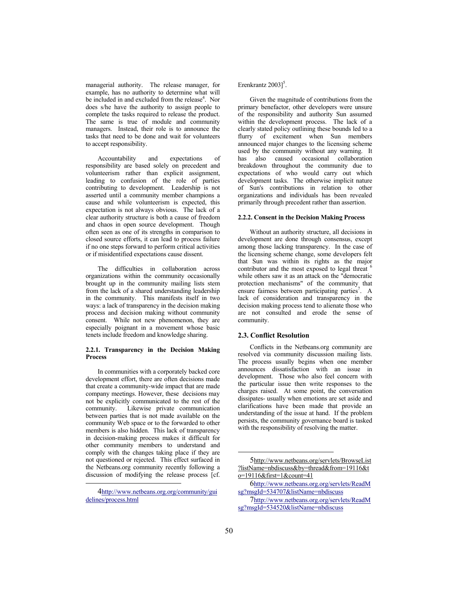managerial authority. The release manager, for example, has no authority to determine what will be included in and excluded from the release<sup>4</sup>. Nor does s/he have the authority to assign people to complete the tasks required to release the product. The same is true of module and community managers. Instead, their role is to announce the tasks that need to be done and wait for volunteers to accept responsibility.

Accountability and expectations of responsibility are based solely on precedent and volunteerism rather than explicit assignment, leading to confusion of the role of parties contributing to development. Leadership is not asserted until a community member champions a cause and while volunteerism is expected, this expectation is not always obvious. The lack of a clear authority structure is both a cause of freedom and chaos in open source development. Though often seen as one of its strengths in comparison to closed source efforts, it can lead to process failure if no one steps forward to perform critical activities or if misidentified expectations cause dissent.

The difficulties in collaboration across organizations within the community occasionally brought up in the community mailing lists stem from the lack of a shared understanding leadership in the community. This manifests itself in two ways: a lack of transparency in the decision making process and decision making without community consent. While not new phenomenon, they are especially poignant in a movement whose basic tenets include freedom and knowledge sharing.

### **2.2.1. Transparency in the Decision Making Process**

In communities with a corporately backed core development effort, there are often decisions made that create a community-wide impact that are made company meetings. However, these decisions may not be explicitly communicated to the rest of the community. Likewise private communication between parties that is not made available on the community Web space or to the forwarded to other members is also hidden. This lack of transparency in decision-making process makes it difficult for other community members to understand and comply with the changes taking place if they are not questioned or rejected. This effect surfaced in the Netbeans.org community recently following a discussion of modifying the release process [cf.

# Erenkrantz  $2003$ <sup>5</sup>.

Given the magnitude of contributions from the primary benefactor, other developers were unsure of the responsibility and authority Sun assumed within the development process. The lack of a clearly stated policy outlining these bounds led to a flurry of excitement when Sun members announced major changes to the licensing scheme used by the community without any warning. It has also caused occasional collaboration breakdown throughout the community due to expectations of who would carry out which development tasks. The otherwise implicit nature of Sun's contributions in relation to other organizations and individuals has been revealed primarily through precedent rather than assertion.

### **2.2.2. Consent in the Decision Making Process**

Without an authority structure, all decisions in development are done through consensus, except among those lacking transparency. In the case of the licensing scheme change, some developers felt that Sun was within its rights as the major contributor and the most exposed to legal threat <sup>6</sup> while others saw it as an attack on the "democratic protection mechanisms" of the community that ensure fairness between participating parties<sup>7</sup>. A lack of consideration and transparency in the decision making process tend to alienate those who are not consulted and erode the sense of community.

### **2.3. Conflict Resolution**

Conflicts in the Netbeans.org community are resolved via community discussion mailing lists. The process usually begins when one member announces dissatisfaction with an issue in development. Those who also feel concern with the particular issue then write responses to the charges raised. At some point, the conversation dissipates- usually when emotions are set aside and clarifications have been made that provide an understanding of the issue at hand. If the problem persists, the community governance board is tasked with the responsibility of resolving the matter.

<sup>4</sup>http://www.netbeans.org.org/community/gui delines/process.html

<sup>5</sup>http://www.netbeans.org/servlets/BrowseList ?listName=nbdiscuss&by=thread&from=19116&t o=19116&first=1&count=41

<sup>6</sup>http://www.netbeans.org.org/servlets/ReadM sg?msgId=534707&listName=nbdiscuss

<sup>7</sup>http://www.netbeans.org.org/servlets/ReadM sg?msgId=534520&listName=nbdiscuss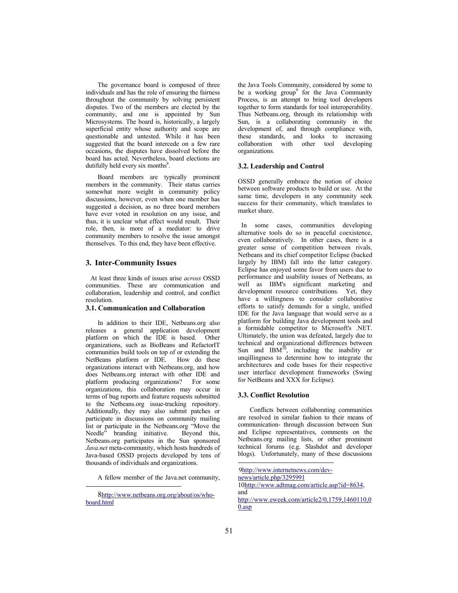The governance board is composed of three individuals and has the role of ensuring the fairness throughout the community by solving persistent disputes. Two of the members are elected by the community, and one is appointed by Sun Microsystems. The board is, historically, a largely superficial entity whose authority and scope are questionable and untested. While it has been suggested that the board intercede on a few rare occasions, the disputes have dissolved before the board has acted. Nevertheless, board elections are dutifully held every six months<sup>8</sup>.

Board members are typically prominent members in the community. Their status carries somewhat more weight in community policy discussions, however, even when one member has suggested a decision, as no three board members have ever voted in resolution on any issue, and thus, it is unclear what effect would result. Their role, then, is more of a mediator: to drive community members to resolve the issue amongst themselves. To this end, they have been effective.

### **3. Inter-Community Issues**

 At least three kinds of issues arise *across* OSSD communities. These are communication and collaboration, leadership and control, and conflict resolution.

#### **3.1. Communication and Collaboration**

In addition to their IDE, Netbeans.org also releases a general application development platform on which the IDE is based. Other organizations, such as BioBeans and RefactorIT communities build tools on top of or extending the NetBeans platform or IDE. How do these organizations interact with Netbeans.org, and how does Netbeans.org interact with other IDE and platform producing organizations? For some organizations, this collaboration may occur in terms of bug reports and feature requests submitted to the Netbeans.org issue-tracking repository. Additionally, they may also submit patches or participate in discussions on community mailing list or participate in the Netbeans.org "Move the Needle" branding initiative. Beyond this, Netbeans.org participates in the Sun sponsored *Java.net* meta-community, which hosts hundreds of Java-based OSSD projects developed by tens of thousands of individuals and organizations.

A fellow member of the Java.net community,

the Java Tools Community, considered by some to be a working  $group<sup>9</sup>$  for the Java Community Process, is an attempt to bring tool developers together to form standards for tool interoperability. Thus Netbeans.org, through its relationship with Sun, is a collaborating community in the development of, and through compliance with, these standards, and looks to increasing collaboration with other tool developing organizations.

### **3.2. Leadership and Control**

OSSD generally embrace the notion of choice between software products to build or use. At the same time, developers in any community seek success for their community, which translates to market share.

 In some cases, communities developing alternative tools do so in peaceful coexistence, even collaboratively. In other cases, there is a greater sense of competition between rivals. Netbeans and its chief competitor Eclipse (backed largely by IBM) fall into the latter category. Eclipse has enjoyed some favor from users due to performance and usability issues of Netbeans, as well as IBM's significant marketing and development resource contributions. Yet, they have a willingness to consider collaborative efforts to satisfy demands for a single, unified IDE for the Java language that would serve as a platform for building Java development tools and a formidable competitor to Microsoft's .NET. Ultimately, the union was defeated, largely due to technical and organizational differences between Sun and  $IBM^{10}$ , including the inability or unqillingness to determine how to integrate the architectures and code bases for their respective user interface development frameworks (Swing for NetBeans and XXX for Eclipse).

### **3.3. Conflict Resolution**

Conflicts between collaborating communities are resolved in similar fashion to their means of communication- through discussion between Sun and Eclipse representatives, comments on the Netbeans.org mailing lists, or other prominent technical forums (e.g. Slashdot and developer blogs). Unfortunately, many of these discussions

9http://www.internetnews.com/dev-

news/article.php/3295991

<sup>8</sup>http://www.netbeans.org.org/about/os/whoboard.html

<sup>10</sup>http://www.adtmag.com/article.asp?id=8634, and

http://www.eweek.com/article2/0,1759,1460110,0  $0.$ asp